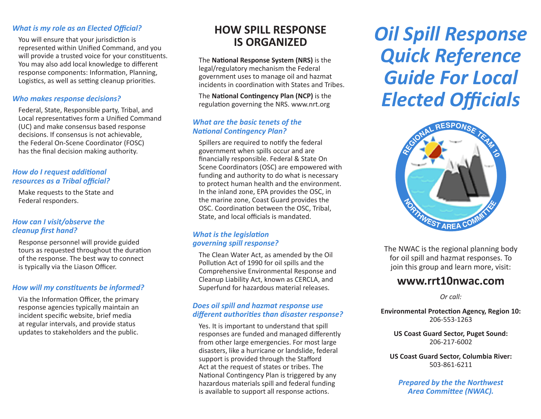#### *What is my role as an Elected Official?*

You will ensure that your jurisdiction is represented within Unified Command, and you will provide a trusted voice for your constituents. You may also add local knowledge to different response components: Information, Planning, Logistics, as well as setting cleanup priorities.

#### *Who makes response decisions?*

Federal, State, Responsible party, Tribal, and Local representatives form a Unified Command (UC) and make consensus based response decisions. If consensus is not achievable, the Federal On-Scene Coordinator (FOSC) has the final decision making authority.

#### *How do I request additional resources as a Tribal official?*

Make requests to the State and Federal responders.

#### *How can I visit/observe the cleanup first hand?*

Response personnel will provide guided tours as requested throughout the duration of the response. The best way to connect is typically via the Liason Officer.

#### *How will my constituents be informed?*

Via the Information Officer, the primary response agencies typically maintain an incident specific website, brief media at regular intervals, and provide status updates to stakeholders and the public.

## **HOW SPILL RESPONSE IS ORGANIZED**

The **National Response System (NRS)** is the legal/regulatory mechanism the Federal government uses to manage oil and hazmat incidents in coordination with States and Tribes.

The **National Contingency Plan (NCP)** is the regulation governing the NRS. www.nrt.org

#### *What are the basic tenets of the National Contingency Plan?*

Spillers are required to notify the federal government when spills occur and are financially responsible. Federal & State On Scene Coordinators (OSC) are empowered with funding and authority to do what is necessary to protect human health and the environment. In the inland zone, EPA provides the OSC, in the marine zone, Coast Guard provides the OSC. Coordination between the OSC, Tribal, State, and local officials is mandated.

#### *What is the legislation governing spill response?*

The Clean Water Act, as amended by the Oil Pollution Act of 1990 for oil spills and the Comprehensive Environmental Response and Cleanup Liability Act, known as CERCLA, and Superfund for hazardous material releases.

#### *Does oil spill and hazmat response use different authorities than disaster response?*

Yes. It is important to understand that spill responses are funded and managed differently from other large emergencies. For most large disasters, like a hurricane or landslide, federal support is provided through the Stafford Act at the request of states or tribes. The National Contingency Plan is triggered by any hazardous materials spill and federal funding is available to support all response actions.

# *Oil Spill Response Quick Reference Guide For Local Elected Officials*



The NWAC is the regional planning body for oil spill and hazmat responses. To join this group and learn more, visit:

### **www.rrt10nwac.com**

*Or call:* 

**Environmental Protection Agency, Region 10:** 206-553-1263

**US Coast Guard Sector, Puget Sound:** 206-217-6002

**US Coast Guard Sector, Columbia River:** 503-861-6211

*Prepared by the the Northwest Area Committee (NWAC).*